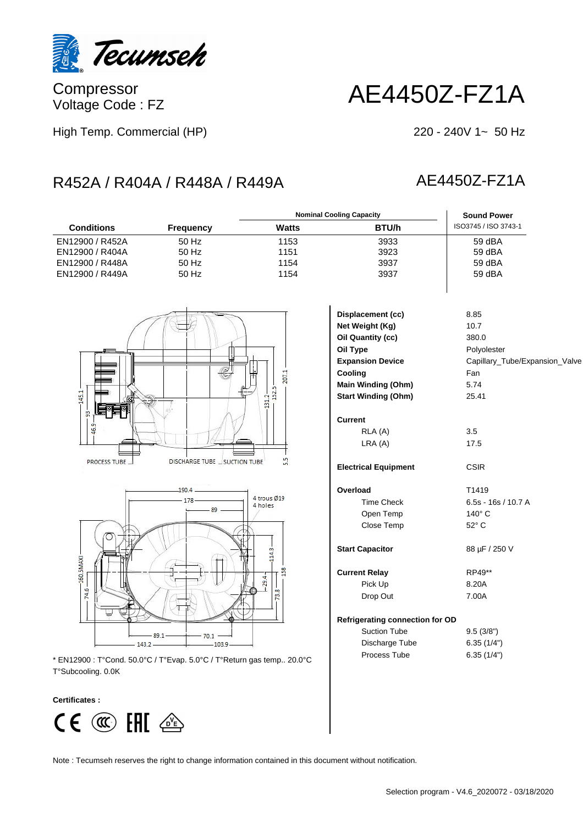

Compressor Voltage Code : FZ

# AE4450Z-FZ1A

High Temp. Commercial (HP)

#### $220 - 240V$  1~ 50 Hz

# R452A / R404A / R448A / R449A AE4450Z-FZ1A

#### **Conditions Frequency Watts BTU/h** ISO3745 / ISO 3743-1 **Nominal Cooling Capacity Sound Power** EN12900 / R452A 50 Hz 1153 3933 59 dBA EN12900 / R404A 50 Hz 1151 3923 59 dBA EN12900 / R448A 50 Hz 1154 3937 59 dBA EN12900 / R449A 50 Hz 1154 1154 3937





\* EN12900 : T°Cond. 50.0°C / T°Evap. 5.0°C / T°Return gas temp.. 20.0°C T°Subcooling. 0.0K

#### **Certificates :**



| Displacement (cc)                      | 8.85                           |
|----------------------------------------|--------------------------------|
| Net Weight (Kg)                        | 10.7                           |
| Oil Quantity (cc)                      | 380.0                          |
| Oil Type                               | Polyolester                    |
| <b>Expansion Device</b>                | Capillary_Tube/Expansion_Valve |
| Cooling                                | Fan                            |
| Main Winding (Ohm)                     | 5.74                           |
| <b>Start Winding (Ohm)</b>             | 25.41                          |
| Current                                |                                |
| RLA (A)                                | 3.5                            |
| LRA(A)                                 | 17.5                           |
| <b>Electrical Equipment</b>            | <b>CSIR</b>                    |
| Overload                               | T <sub>1419</sub>              |
| <b>Time Check</b>                      | $6.5s - 16s / 10.7 A$          |
| Open Temp                              | $140^\circ$ C                  |
| Close Temp                             | 52° C                          |
| <b>Start Capacitor</b>                 | 88 µF / 250 V                  |
| <b>Current Relay</b>                   | RP49**                         |
| Pick Up                                | 8.20A                          |
| Drop Out                               | 7.00A                          |
| <b>Refrigerating connection for OD</b> |                                |
| <b>Suction Tube</b>                    | 9.5(3/8")                      |
| Discharge Tube                         | 6.35(1/4")                     |
| Process Tube                           | 6.35(1/4")                     |
|                                        |                                |

Note : Tecumseh reserves the right to change information contained in this document without notification.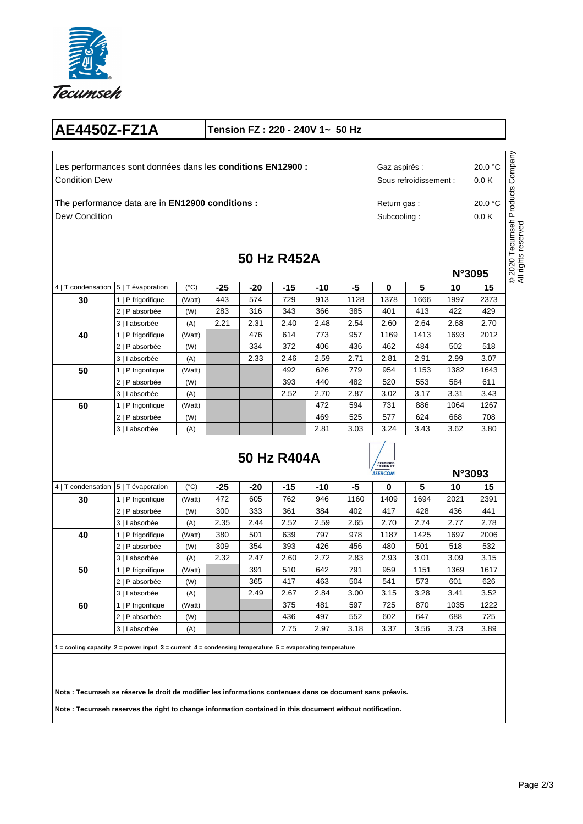

# **AE4450Z-FZ1A Tension FZ : 220 - 240V 1~ 50 Hz**

Condition Dew Les performances sont données dans les **conditions EN12900 :** 20.0 °C

Dew Condition The performance data are in **EN12900 conditions :** Subcooling : Sous refroidissement : Return gas :

Gaz aspirés :

© 2020 Tecumseh Products Company<br>All rights reserved © 2020 Tecumseh Products Company All rights reserved

0.0 K

**N°3095**

20.0 °C

0.0 K

| 50 Hz R452A |
|-------------|
|             |

|                    |                    |              |       |       |       |      |      |      |      | N°3095 |      |  |
|--------------------|--------------------|--------------|-------|-------|-------|------|------|------|------|--------|------|--|
| 4   T condensation | 5   T évaporation  | $(^\circ C)$ | $-25$ | $-20$ | $-15$ | -10  | -5   | 0    | 5    | 10     | 15   |  |
| 30                 | P frigorifique     | (Watt)       | 443   | 574   | 729   | 913  | 1128 | 1378 | 1666 | 1997   | 2373 |  |
|                    | 2   P absorbée     | (W)          | 283   | 316   | 343   | 366  | 385  | 401  | 413  | 422    | 429  |  |
|                    | 3   I absorbée     | (A)          | 2.21  | 2.31  | 2.40  | 2.48 | 2.54 | 2.60 | 2.64 | 2.68   | 2.70 |  |
| 40                 | P frigorifique     | (Watt)       |       | 476   | 614   | 773  | 957  | 1169 | 1413 | 1693   | 2012 |  |
|                    | 2   P absorbée     | (W)          |       | 334   | 372   | 406  | 436  | 462  | 484  | 502    | 518  |  |
|                    | 3   I absorbée     | (A)          |       | 2.33  | 2.46  | 2.59 | 2.71 | 2.81 | 2.91 | 2.99   | 3.07 |  |
| 50                 | P frigorifique     | (Watt)       |       |       | 492   | 626  | 779  | 954  | 1153 | 1382   | 1643 |  |
|                    | 2   P absorbée     | (W)          |       |       | 393   | 440  | 482  | 520  | 553  | 584    | 611  |  |
|                    | 3   I absorbée     | (A)          |       |       | 2.52  | 2.70 | 2.87 | 3.02 | 3.17 | 3.31   | 3.43 |  |
| 60                 | 1   P frigorifique | (Watt)       |       |       |       | 472  | 594  | 731  | 886  | 1064   | 1267 |  |
|                    | 2   P absorbée     | (W)          |       |       |       | 469  | 525  | 577  | 624  | 668    | 708  |  |
|                    | 3   I absorbée     | (A)          |       |       |       | 2.81 | 3.03 | 3.24 | 3.43 | 3.62   | 3.80 |  |

### **50 Hz R404A**



|                    |                    |               |       |       |       |      | ASERCOM |          |      | N°3093 |      |
|--------------------|--------------------|---------------|-------|-------|-------|------|---------|----------|------|--------|------|
| 4   T condensation | 5   T évaporation  | $(^{\circ}C)$ | $-25$ | $-20$ | $-15$ | -10  | -5      | $\bf{0}$ | 5    | 10     | 15   |
| 30                 | 1   P frigorifique | (Watt)        | 472   | 605   | 762   | 946  | 1160    | 1409     | 1694 | 2021   | 2391 |
|                    | 2   P absorbée     | (W)           | 300   | 333   | 361   | 384  | 402     | 417      | 428  | 436    | 441  |
|                    | 3   I absorbée     | (A)           | 2.35  | 2.44  | 2.52  | 2.59 | 2.65    | 2.70     | 2.74 | 2.77   | 2.78 |
| 40                 | 1   P frigorifique | (Watt)        | 380   | 501   | 639   | 797  | 978     | 1187     | 1425 | 1697   | 2006 |
|                    | 2   P absorbée     | (W)           | 309   | 354   | 393   | 426  | 456     | 480      | 501  | 518    | 532  |
|                    | 3   I absorbée     | (A)           | 2.32  | 2.47  | 2.60  | 2.72 | 2.83    | 2.93     | 3.01 | 3.09   | 3.15 |
| 50                 | 1   P frigorifique | (Watt)        |       | 391   | 510   | 642  | 791     | 959      | 1151 | 1369   | 1617 |
|                    | 2   P absorbée     | (W)           |       | 365   | 417   | 463  | 504     | 541      | 573  | 601    | 626  |
|                    | 3   I absorbée     | (A)           |       | 2.49  | 2.67  | 2.84 | 3.00    | 3.15     | 3.28 | 3.41   | 3.52 |
| 60                 | 1   P frigorifique | (Watt)        |       |       | 375   | 481  | 597     | 725      | 870  | 1035   | 1222 |
|                    | 2   P absorbée     | (W)           |       |       | 436   | 497  | 552     | 602      | 647  | 688    | 725  |
|                    | 3   I absorbée     | (A)           |       |       | 2.75  | 2.97 | 3.18    | 3.37     | 3.56 | 3.73   | 3.89 |

**1 = cooling capacity 2 = power input 3 = current 4 = condensing temperature 5 = evaporating temperature** 

**Nota : Tecumseh se réserve le droit de modifier les informations contenues dans ce document sans préavis.** 

**Note : Tecumseh reserves the right to change information contained in this document without notification.**